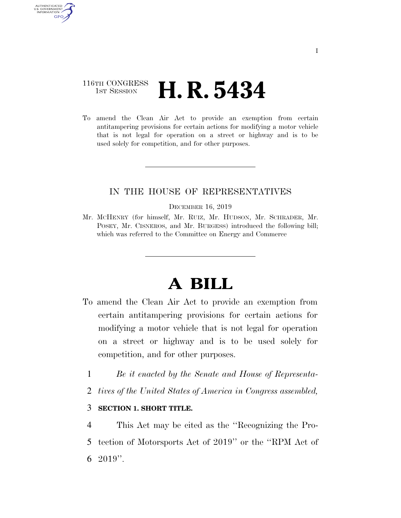## 116TH CONGRESS **1st Session H. R. 5434**

AUTHENTICATED U.S. GOVERNMENT **GPO** 

> To amend the Clean Air Act to provide an exemption from certain antitampering provisions for certain actions for modifying a motor vehicle that is not legal for operation on a street or highway and is to be used solely for competition, and for other purposes.

## IN THE HOUSE OF REPRESENTATIVES

#### DECEMBER 16, 2019

Mr. MCHENRY (for himself, Mr. RUIZ, Mr. HUDSON, Mr. SCHRADER, Mr. POSEY, Mr. CISNEROS, and Mr. BURGESS) introduced the following bill; which was referred to the Committee on Energy and Commerce

# **A BILL**

- To amend the Clean Air Act to provide an exemption from certain antitampering provisions for certain actions for modifying a motor vehicle that is not legal for operation on a street or highway and is to be used solely for competition, and for other purposes.
	- 1 *Be it enacted by the Senate and House of Representa-*
	- 2 *tives of the United States of America in Congress assembled,*

### 3 **SECTION 1. SHORT TITLE.**

4 This Act may be cited as the ''Recognizing the Pro-5 tection of Motorsports Act of 2019'' or the ''RPM Act of 6 2019''.